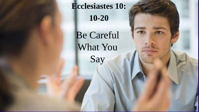**Ecclesiastes 10: 10-20**

Be Careful What You Say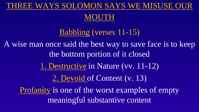## THREE WAYS SOLOMON SAYS WE MISUSE OUR

#### MOUTH

Babbling (verses 11-15) A wise man once said the best way to save face is to keep the bottom portion of it closed 1. Destructive in Nature (vv. 11-12) 2. Devoid of Content (v. 13) Profanity is one of the worst examples of empty meaningful substantive content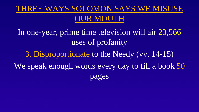## THREE WAYS SOLOMON SAYS WE MISUSE OUR MOUTH

In one-year, prime time television will air 23,566 uses of profanity

3. Disproportionate to the Needy (vv. 14-15) We speak enough words every day to fill a book 50 pages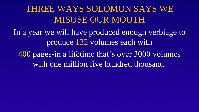# THREE WAYS SOLOMON SAYS WE MISUSE OUR MOUTH

In a year we will have produced enough verbiage to produce 132 volumes each with

400 pages-in a lifetime that's over 3000 volumes with one million five hundred thousand.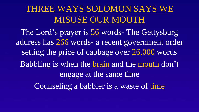# THREE WAYS SOLOMON SAYS WE MISUSE OUR MOUTH

The Lord's prayer is 56 words- The Gettysburg address has 266 words- a recent government order setting the price of cabbage over 26,000 words Babbling is when the brain and the mouth don't engage at the same time Counseling a babbler is a waste of time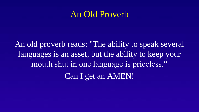### An Old Proverb

An old proverb reads: "The ability to speak several languages is an asset, but the ability to keep your mouth shut in one language is priceless." Can I get an AMEN!